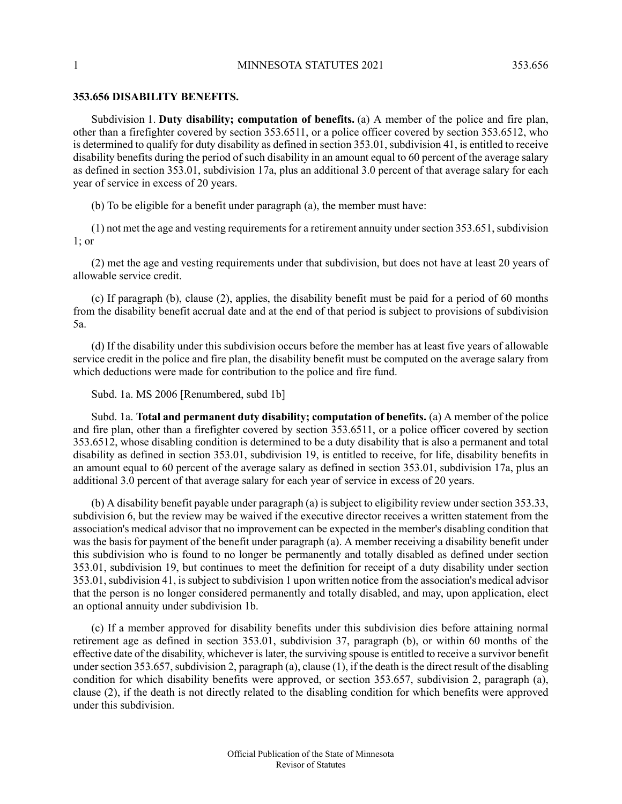## **353.656 DISABILITY BENEFITS.**

Subdivision 1. **Duty disability; computation of benefits.** (a) A member of the police and fire plan, other than a firefighter covered by section 353.6511, or a police officer covered by section 353.6512, who is determined to qualify for duty disability as defined in section 353.01, subdivision 41, is entitled to receive disability benefits during the period of such disability in an amount equal to 60 percent of the average salary as defined in section 353.01, subdivision 17a, plus an additional 3.0 percent of that average salary for each year of service in excess of 20 years.

(b) To be eligible for a benefit under paragraph (a), the member must have:

 $(1)$  not met the age and vesting requirements for a retirement annuity under section 353.651, subdivision 1; or

(2) met the age and vesting requirements under that subdivision, but does not have at least 20 years of allowable service credit.

(c) If paragraph (b), clause (2), applies, the disability benefit must be paid for a period of 60 months from the disability benefit accrual date and at the end of that period is subject to provisions of subdivision 5a.

(d) If the disability under this subdivision occurs before the member has at least five years of allowable service credit in the police and fire plan, the disability benefit must be computed on the average salary from which deductions were made for contribution to the police and fire fund.

Subd. 1a. MS 2006 [Renumbered, subd 1b]

Subd. 1a. **Total and permanent duty disability; computation of benefits.** (a) A member of the police and fire plan, other than a firefighter covered by section 353.6511, or a police officer covered by section 353.6512, whose disabling condition is determined to be a duty disability that is also a permanent and total disability as defined in section 353.01, subdivision 19, is entitled to receive, for life, disability benefits in an amount equal to 60 percent of the average salary as defined in section 353.01, subdivision 17a, plus an additional 3.0 percent of that average salary for each year of service in excess of 20 years.

(b) A disability benefit payable under paragraph (a) is subject to eligibility review under section 353.33, subdivision 6, but the review may be waived if the executive director receives a written statement from the association's medical advisor that no improvement can be expected in the member's disabling condition that was the basis for payment of the benefit under paragraph (a). A member receiving a disability benefit under this subdivision who is found to no longer be permanently and totally disabled as defined under section 353.01, subdivision 19, but continues to meet the definition for receipt of a duty disability under section 353.01, subdivision 41, is subject to subdivision 1 upon written notice from the association's medical advisor that the person is no longer considered permanently and totally disabled, and may, upon application, elect an optional annuity under subdivision 1b.

(c) If a member approved for disability benefits under this subdivision dies before attaining normal retirement age as defined in section 353.01, subdivision 37, paragraph (b), or within 60 months of the effective date of the disability, whichever is later, the surviving spouse is entitled to receive a survivor benefit under section 353.657, subdivision 2, paragraph (a), clause (1), if the death is the direct result of the disabling condition for which disability benefits were approved, or section 353.657, subdivision 2, paragraph (a), clause (2), if the death is not directly related to the disabling condition for which benefits were approved under this subdivision.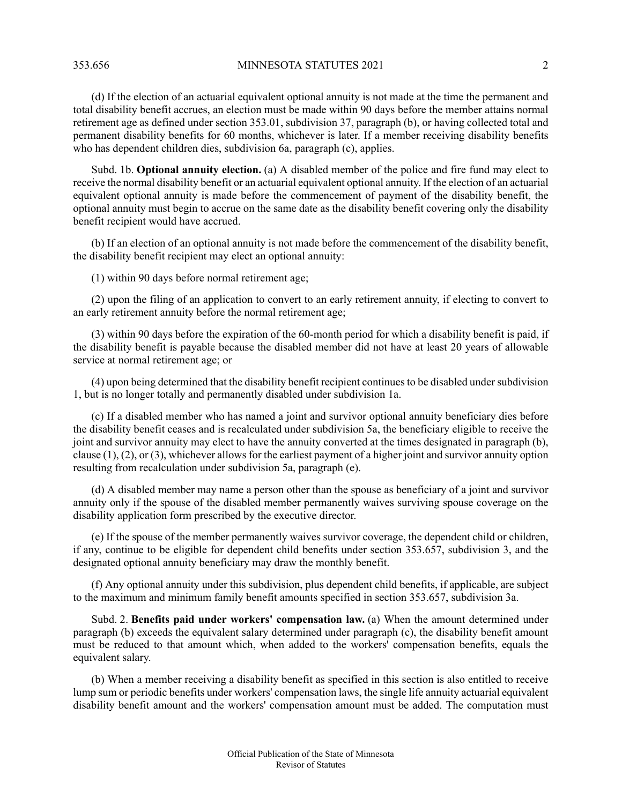353.656 MINNESOTA STATUTES 2021 2

(d) If the election of an actuarial equivalent optional annuity is not made at the time the permanent and total disability benefit accrues, an election must be made within 90 days before the member attains normal retirement age as defined under section 353.01, subdivision 37, paragraph (b), or having collected total and permanent disability benefits for 60 months, whichever is later. If a member receiving disability benefits who has dependent children dies, subdivision 6a, paragraph (c), applies.

Subd. 1b. **Optional annuity election.** (a) A disabled member of the police and fire fund may elect to receive the normal disability benefit or an actuarial equivalent optional annuity. If the election of an actuarial equivalent optional annuity is made before the commencement of payment of the disability benefit, the optional annuity must begin to accrue on the same date as the disability benefit covering only the disability benefit recipient would have accrued.

(b) If an election of an optional annuity is not made before the commencement of the disability benefit, the disability benefit recipient may elect an optional annuity:

(1) within 90 days before normal retirement age;

(2) upon the filing of an application to convert to an early retirement annuity, if electing to convert to an early retirement annuity before the normal retirement age;

(3) within 90 days before the expiration of the 60-month period for which a disability benefit is paid, if the disability benefit is payable because the disabled member did not have at least 20 years of allowable service at normal retirement age; or

(4) upon being determined that the disability benefit recipient continues to be disabled under subdivision 1, but is no longer totally and permanently disabled under subdivision 1a.

(c) If a disabled member who has named a joint and survivor optional annuity beneficiary dies before the disability benefit ceases and is recalculated under subdivision 5a, the beneficiary eligible to receive the joint and survivor annuity may elect to have the annuity converted at the times designated in paragraph (b), clause  $(1)$ ,  $(2)$ , or  $(3)$ , whichever allows for the earliest payment of a higher joint and survivor annuity option resulting from recalculation under subdivision 5a, paragraph (e).

(d) A disabled member may name a person other than the spouse as beneficiary of a joint and survivor annuity only if the spouse of the disabled member permanently waives surviving spouse coverage on the disability application form prescribed by the executive director.

(e) If the spouse of the member permanently waives survivor coverage, the dependent child or children, if any, continue to be eligible for dependent child benefits under section 353.657, subdivision 3, and the designated optional annuity beneficiary may draw the monthly benefit.

(f) Any optional annuity under this subdivision, plus dependent child benefits, if applicable, are subject to the maximum and minimum family benefit amounts specified in section 353.657, subdivision 3a.

Subd. 2. **Benefits paid under workers' compensation law.** (a) When the amount determined under paragraph (b) exceeds the equivalent salary determined under paragraph (c), the disability benefit amount must be reduced to that amount which, when added to the workers' compensation benefits, equals the equivalent salary.

(b) When a member receiving a disability benefit as specified in this section is also entitled to receive lump sum or periodic benefits under workers' compensation laws, the single life annuity actuarial equivalent disability benefit amount and the workers' compensation amount must be added. The computation must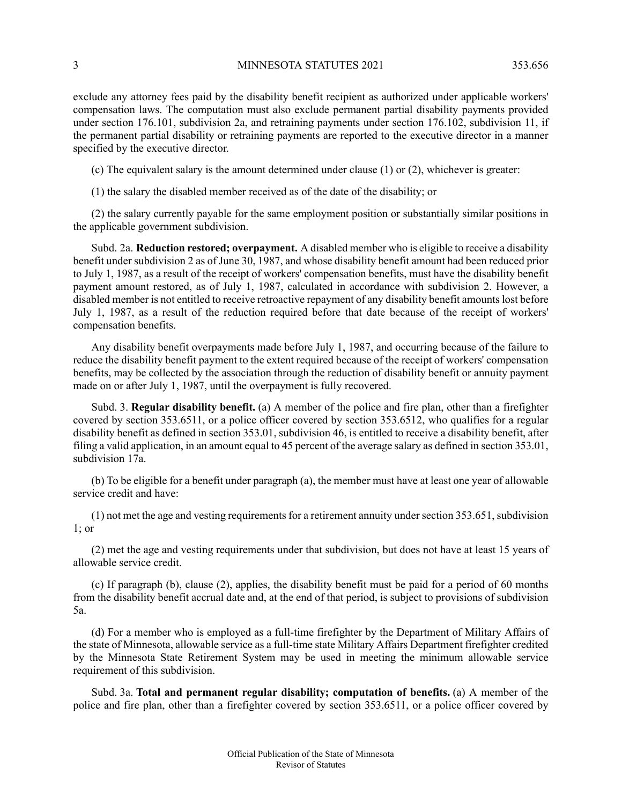exclude any attorney fees paid by the disability benefit recipient as authorized under applicable workers' compensation laws. The computation must also exclude permanent partial disability payments provided under section 176.101, subdivision 2a, and retraining payments under section 176.102, subdivision 11, if the permanent partial disability or retraining payments are reported to the executive director in a manner specified by the executive director.

(c) The equivalent salary is the amount determined under clause (1) or (2), whichever is greater:

(1) the salary the disabled member received as of the date of the disability; or

(2) the salary currently payable for the same employment position or substantially similar positions in the applicable government subdivision.

Subd. 2a. **Reduction restored; overpayment.** A disabled member who is eligible to receive a disability benefit under subdivision 2 as of June 30, 1987, and whose disability benefit amount had been reduced prior to July 1, 1987, as a result of the receipt of workers' compensation benefits, must have the disability benefit payment amount restored, as of July 1, 1987, calculated in accordance with subdivision 2. However, a disabled member is not entitled to receive retroactive repayment of any disability benefit amounts lost before July 1, 1987, as a result of the reduction required before that date because of the receipt of workers' compensation benefits.

Any disability benefit overpayments made before July 1, 1987, and occurring because of the failure to reduce the disability benefit payment to the extent required because of the receipt of workers' compensation benefits, may be collected by the association through the reduction of disability benefit or annuity payment made on or after July 1, 1987, until the overpayment is fully recovered.

Subd. 3. **Regular disability benefit.** (a) A member of the police and fire plan, other than a firefighter covered by section 353.6511, or a police officer covered by section 353.6512, who qualifies for a regular disability benefit as defined in section 353.01, subdivision 46, is entitled to receive a disability benefit, after filing a valid application, in an amount equal to 45 percent of the average salary as defined in section 353.01, subdivision 17a.

(b) To be eligible for a benefit under paragraph (a), the member must have at least one year of allowable service credit and have:

 $(1)$  not met the age and vesting requirements for a retirement annuity under section 353.651, subdivision 1; or

(2) met the age and vesting requirements under that subdivision, but does not have at least 15 years of allowable service credit.

(c) If paragraph (b), clause (2), applies, the disability benefit must be paid for a period of 60 months from the disability benefit accrual date and, at the end of that period, is subject to provisions of subdivision 5a.

(d) For a member who is employed as a full-time firefighter by the Department of Military Affairs of the state of Minnesota, allowable service as a full-time state Military Affairs Department firefighter credited by the Minnesota State Retirement System may be used in meeting the minimum allowable service requirement of this subdivision.

Subd. 3a. **Total and permanent regular disability; computation of benefits.** (a) A member of the police and fire plan, other than a firefighter covered by section 353.6511, or a police officer covered by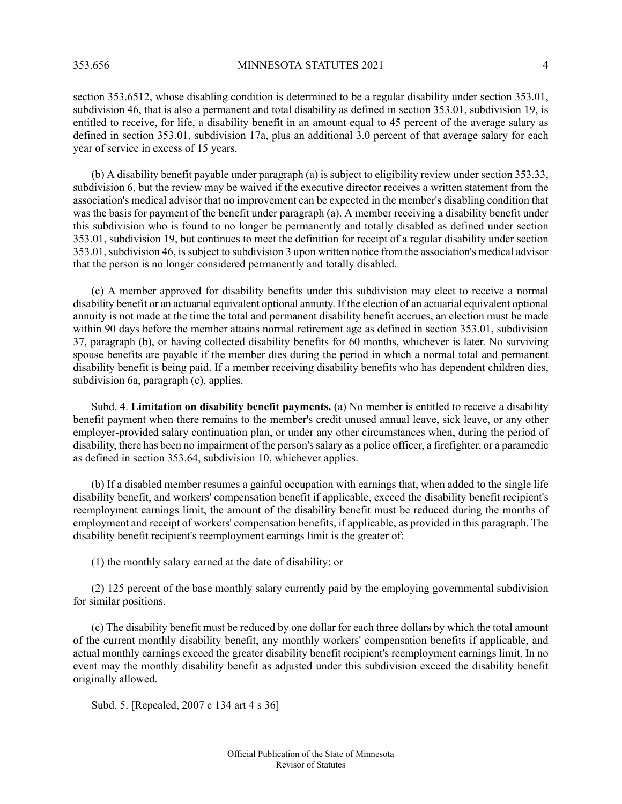section 353.6512, whose disabling condition is determined to be a regular disability under section 353.01, subdivision 46, that is also a permanent and total disability as defined in section 353.01, subdivision 19, is entitled to receive, for life, a disability benefit in an amount equal to 45 percent of the average salary as defined in section 353.01, subdivision 17a, plus an additional 3.0 percent of that average salary for each year of service in excess of 15 years.

(b) A disability benefit payable under paragraph (a) is subject to eligibility review under section 353.33, subdivision 6, but the review may be waived if the executive director receives a written statement from the association's medical advisor that no improvement can be expected in the member's disabling condition that was the basis for payment of the benefit under paragraph (a). A member receiving a disability benefit under this subdivision who is found to no longer be permanently and totally disabled as defined under section 353.01, subdivision 19, but continues to meet the definition for receipt of a regular disability under section 353.01, subdivision 46, is subject to subdivision 3 upon written notice from the association's medical advisor that the person is no longer considered permanently and totally disabled.

(c) A member approved for disability benefits under this subdivision may elect to receive a normal disability benefit or an actuarial equivalent optional annuity. If the election of an actuarial equivalent optional annuity is not made at the time the total and permanent disability benefit accrues, an election must be made within 90 days before the member attains normal retirement age as defined in section 353.01, subdivision 37, paragraph (b), or having collected disability benefits for 60 months, whichever is later. No surviving spouse benefits are payable if the member dies during the period in which a normal total and permanent disability benefit is being paid. If a member receiving disability benefits who has dependent children dies, subdivision 6a, paragraph (c), applies.

Subd. 4. **Limitation on disability benefit payments.** (a) No member is entitled to receive a disability benefit payment when there remains to the member's credit unused annual leave, sick leave, or any other employer-provided salary continuation plan, or under any other circumstances when, during the period of disability, there has been no impairment of the person'ssalary as a police officer, a firefighter, or a paramedic as defined in section 353.64, subdivision 10, whichever applies.

(b) If a disabled member resumes a gainful occupation with earnings that, when added to the single life disability benefit, and workers' compensation benefit if applicable, exceed the disability benefit recipient's reemployment earnings limit, the amount of the disability benefit must be reduced during the months of employment and receipt of workers' compensation benefits, if applicable, as provided in this paragraph. The disability benefit recipient's reemployment earnings limit is the greater of:

(1) the monthly salary earned at the date of disability; or

(2) 125 percent of the base monthly salary currently paid by the employing governmental subdivision for similar positions.

(c) The disability benefit must be reduced by one dollar for each three dollars by which the total amount of the current monthly disability benefit, any monthly workers' compensation benefits if applicable, and actual monthly earnings exceed the greater disability benefit recipient's reemployment earnings limit. In no event may the monthly disability benefit as adjusted under this subdivision exceed the disability benefit originally allowed.

Subd. 5. [Repealed, 2007 c 134 art 4 s 36]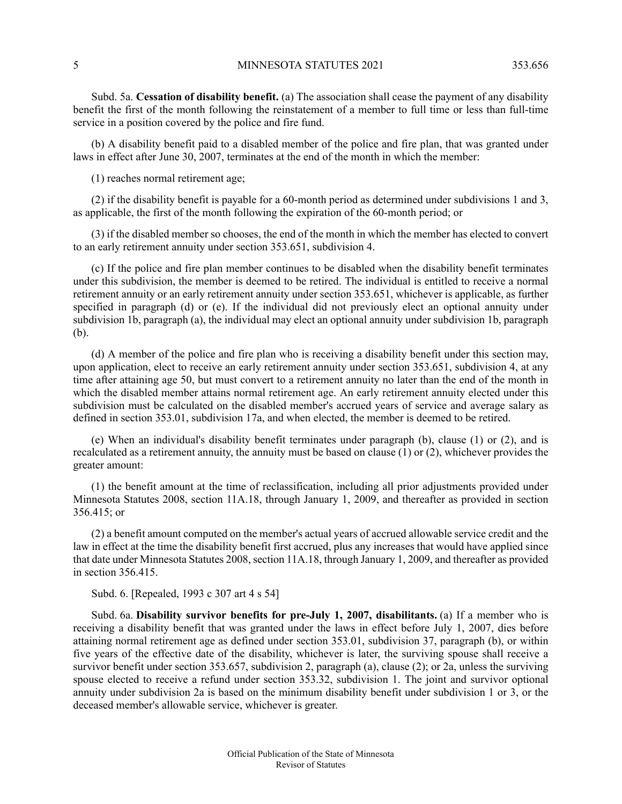Subd. 5a. **Cessation of disability benefit.** (a) The association shall cease the payment of any disability benefit the first of the month following the reinstatement of a member to full time or less than full-time service in a position covered by the police and fire fund.

(b) A disability benefit paid to a disabled member of the police and fire plan, that was granted under laws in effect after June 30, 2007, terminates at the end of the month in which the member:

(1) reaches normal retirement age;

(2) if the disability benefit is payable for a 60-month period as determined under subdivisions 1 and 3, as applicable, the first of the month following the expiration of the 60-month period; or

(3) if the disabled member so chooses, the end of the month in which the member has elected to convert to an early retirement annuity under section 353.651, subdivision 4.

(c) If the police and fire plan member continues to be disabled when the disability benefit terminates under this subdivision, the member is deemed to be retired. The individual is entitled to receive a normal retirement annuity or an early retirement annuity under section 353.651, whichever is applicable, as further specified in paragraph (d) or (e). If the individual did not previously elect an optional annuity under subdivision 1b, paragraph (a), the individual may elect an optional annuity under subdivision 1b, paragraph (b).

(d) A member of the police and fire plan who is receiving a disability benefit under this section may, upon application, elect to receive an early retirement annuity under section 353.651, subdivision 4, at any time after attaining age 50, but must convert to a retirement annuity no later than the end of the month in which the disabled member attains normal retirement age. An early retirement annuity elected under this subdivision must be calculated on the disabled member's accrued years of service and average salary as defined in section 353.01, subdivision 17a, and when elected, the member is deemed to be retired.

(e) When an individual's disability benefit terminates under paragraph (b), clause (1) or (2), and is recalculated as a retirement annuity, the annuity must be based on clause (1) or (2), whichever provides the greater amount:

(1) the benefit amount at the time of reclassification, including all prior adjustments provided under Minnesota Statutes 2008, section 11A.18, through January 1, 2009, and thereafter as provided in section 356.415; or

(2) a benefit amount computed on the member's actual years of accrued allowable service credit and the law in effect at the time the disability benefit first accrued, plus any increases that would have applied since that date under Minnesota Statutes 2008, section 11A.18, through January 1, 2009, and thereafter as provided in section 356.415.

Subd. 6. [Repealed, 1993 c 307 art 4 s 54]

Subd. 6a. **Disability survivor benefits for pre-July 1, 2007, disabilitants.** (a) If a member who is receiving a disability benefit that was granted under the laws in effect before July 1, 2007, dies before attaining normal retirement age as defined under section 353.01, subdivision 37, paragraph (b), or within five years of the effective date of the disability, whichever is later, the surviving spouse shall receive a survivor benefit under section 353.657, subdivision 2, paragraph (a), clause (2); or 2a, unless the surviving spouse elected to receive a refund under section 353.32, subdivision 1. The joint and survivor optional annuity under subdivision 2a is based on the minimum disability benefit under subdivision 1 or 3, or the deceased member's allowable service, whichever is greater.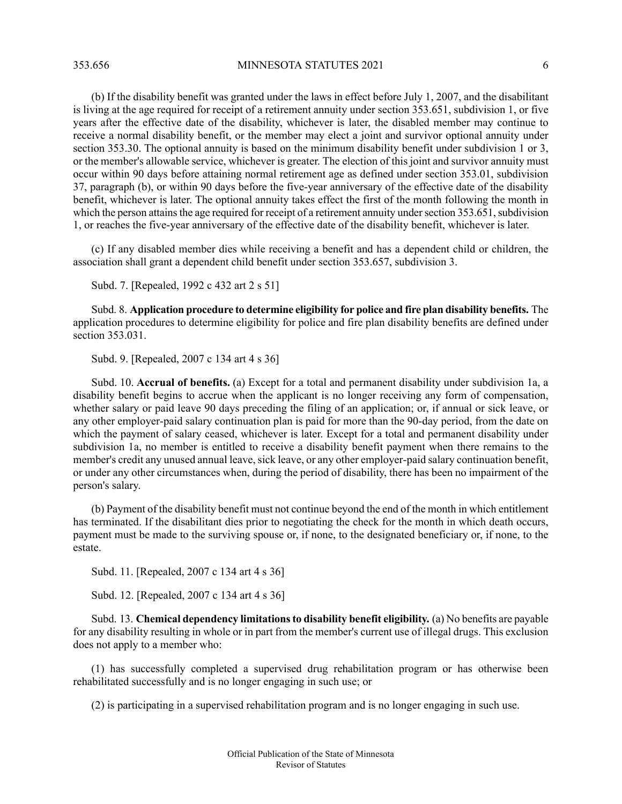(b) If the disability benefit was granted under the laws in effect before July 1, 2007, and the disabilitant is living at the age required for receipt of a retirement annuity under section 353.651, subdivision 1, or five years after the effective date of the disability, whichever is later, the disabled member may continue to receive a normal disability benefit, or the member may elect a joint and survivor optional annuity under section 353.30. The optional annuity is based on the minimum disability benefit under subdivision 1 or 3, or the member's allowable service, whichever is greater. The election of this joint and survivor annuity must occur within 90 days before attaining normal retirement age as defined under section 353.01, subdivision 37, paragraph (b), or within 90 days before the five-year anniversary of the effective date of the disability benefit, whichever is later. The optional annuity takes effect the first of the month following the month in which the person attains the age required for receipt of a retirement annuity under section 353.651, subdivision 1, or reaches the five-year anniversary of the effective date of the disability benefit, whichever is later.

(c) If any disabled member dies while receiving a benefit and has a dependent child or children, the association shall grant a dependent child benefit under section 353.657, subdivision 3.

Subd. 7. [Repealed, 1992 c 432 art 2 s 51]

Subd. 8. **Application procedure to determine eligibility for police and fire plan disability benefits.** The application procedures to determine eligibility for police and fire plan disability benefits are defined under section 353.031.

Subd. 9. [Repealed, 2007 c 134 art 4 s 36]

Subd. 10. **Accrual of benefits.** (a) Except for a total and permanent disability under subdivision 1a, a disability benefit begins to accrue when the applicant is no longer receiving any form of compensation, whether salary or paid leave 90 days preceding the filing of an application; or, if annual or sick leave, or any other employer-paid salary continuation plan is paid for more than the 90-day period, from the date on which the payment of salary ceased, whichever is later. Except for a total and permanent disability under subdivision 1a, no member is entitled to receive a disability benefit payment when there remains to the member's credit any unused annual leave, sick leave, or any other employer-paid salary continuation benefit, or under any other circumstances when, during the period of disability, there has been no impairment of the person's salary.

(b) Payment of the disability benefit must not continue beyond the end of the month in which entitlement has terminated. If the disabilitant dies prior to negotiating the check for the month in which death occurs, payment must be made to the surviving spouse or, if none, to the designated beneficiary or, if none, to the estate.

Subd. 11. [Repealed, 2007 c 134 art 4 s 36]

Subd. 12. [Repealed, 2007 c 134 art 4 s 36]

Subd. 13. **Chemical dependency limitationsto disability benefit eligibility.** (a) No benefits are payable for any disability resulting in whole or in part from the member's current use of illegal drugs. This exclusion does not apply to a member who:

(1) has successfully completed a supervised drug rehabilitation program or has otherwise been rehabilitated successfully and is no longer engaging in such use; or

(2) is participating in a supervised rehabilitation program and is no longer engaging in such use.